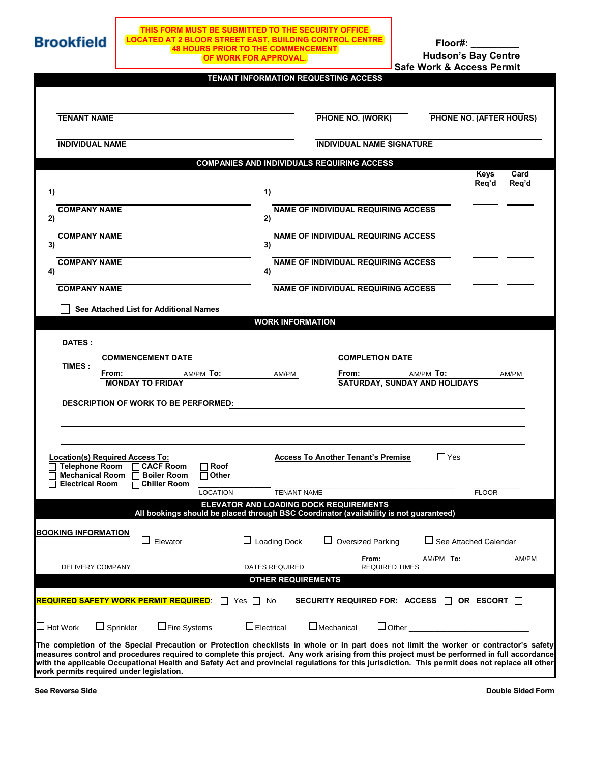

## **THIS FORM MUST BE SUBMITTED TO THE SECURITY OFFICE LOCATED AT 2 BLOOR STREET EAST, BUILDING CONTROL CENTRE 48 HOURS PRIOR TO THE COMMENCEMENT OF WORK FOR APPROVAL.**

**Hudson's Bay Centre Safe Work & Access Permit Floor#: \_\_\_\_\_\_\_\_\_**

| <b>TENANT NAME</b>                                                                                         |                                                              | PHONE NO. (WORK)                           |                              | PHONE NO. (AFTER HOURS) |               |
|------------------------------------------------------------------------------------------------------------|--------------------------------------------------------------|--------------------------------------------|------------------------------|-------------------------|---------------|
| <b>INDIVIDUAL NAME</b>                                                                                     |                                                              | <b>INDIVIDUAL NAME SIGNATURE</b>           |                              |                         |               |
|                                                                                                            | <b>COMPANIES AND INDIVIDUALS REQUIRING ACCESS</b>            |                                            |                              |                         |               |
|                                                                                                            |                                                              |                                            |                              | <b>Keys</b><br>Req'd    | Card<br>Req'd |
| 1)                                                                                                         | 1)                                                           |                                            |                              |                         |               |
| <b>COMPANY NAME</b>                                                                                        |                                                              | <b>NAME OF INDIVIDUAL REQUIRING ACCESS</b> |                              |                         |               |
| 2)                                                                                                         | 2)                                                           |                                            |                              |                         |               |
| <b>COMPANY NAME</b><br>3)                                                                                  | 3)                                                           | NAME OF INDIVIDUAL REQUIRING ACCESS        |                              |                         |               |
| <b>COMPANY NAME</b><br>4)                                                                                  | 4)                                                           | <b>NAME OF INDIVIDUAL REQUIRING ACCESS</b> |                              |                         |               |
| <b>COMPANY NAME</b>                                                                                        |                                                              | <b>NAME OF INDIVIDUAL REQUIRING ACCESS</b> |                              |                         |               |
| See Attached List for Additional Names                                                                     |                                                              |                                            |                              |                         |               |
|                                                                                                            | <b>WORK INFORMATION</b>                                      |                                            |                              |                         |               |
|                                                                                                            |                                                              |                                            |                              |                         |               |
| DATES :                                                                                                    |                                                              |                                            |                              |                         |               |
| <b>COMMENCEMENT DATE</b><br>TIMES:                                                                         |                                                              | <b>COMPLETION DATE</b>                     |                              |                         |               |
|                                                                                                            |                                                              |                                            |                              |                         |               |
| From:<br>AM/PM To:                                                                                         | AM/PM                                                        | From:                                      | AM/PM To:                    |                         | AM/PM         |
| <b>MONDAY TO FRIDAY</b>                                                                                    |                                                              | <b>SATURDAY, SUNDAY AND HOLIDAYS</b>       |                              |                         |               |
| <b>DESCRIPTION OF WORK TO BE PERFORMED:</b>                                                                |                                                              |                                            |                              |                         |               |
|                                                                                                            |                                                              |                                            |                              |                         |               |
|                                                                                                            |                                                              |                                            |                              |                         |               |
|                                                                                                            |                                                              |                                            |                              |                         |               |
| Location(s) Required Access To:                                                                            |                                                              | <b>Access To Another Tenant's Premise</b>  | $\Box$ Yes                   |                         |               |
| <b>Telephone Room</b><br><b>CACF Room</b><br>Roof<br><b>Mechanical Room</b><br><b>Boiler Room</b><br>Other |                                                              |                                            |                              |                         |               |
| □ Chiller Room<br><b>Electrical Room</b>                                                                   |                                                              |                                            |                              |                         |               |
| <b>LOCATION</b>                                                                                            | <b>TENANT NAME</b><br>ELEVATOR AND LOADING DOCK REQUIREMENTS |                                            |                              | <b>FLOOR</b>            |               |
| All bookings should be placed through BSC Coordinator (availability is not guaranteed)                     |                                                              |                                            |                              |                         |               |
| <b>BOOKING INFORMATION</b>                                                                                 |                                                              |                                            |                              |                         |               |
| $\Box$<br>Elevator                                                                                         | Loading Dock                                                 | <b>Oversized Parking</b>                   | $\Box$ See Attached Calendar |                         |               |
|                                                                                                            |                                                              | From:                                      | AM/PM To:                    |                         |               |
| DELIVERY COMPANY                                                                                           | DATES REQUIRED                                               | <b>REQUIRED TIMES</b>                      |                              |                         | AM/PM         |
|                                                                                                            | <b>OTHER REQUIREMENTS</b>                                    |                                            |                              |                         |               |
| <u>REQUIRED SAFETY WORK PERMIT REQUIRED:</u>                                                               | $\Box$ Yes $\Box$ No                                         | SECURITY REQUIRED FOR: ACCESS   OR ESCORT  |                              |                         |               |
|                                                                                                            |                                                              |                                            |                              |                         |               |

**work permits required under legislation.**

**See Reverse Side Contract of Contract Act of Contract Act of Contract Act of Contract Act of Contract Act of Contract Act of Contract Act of Contract Act of Contract Act of Contract Act of Contract Act of Contract Act of**